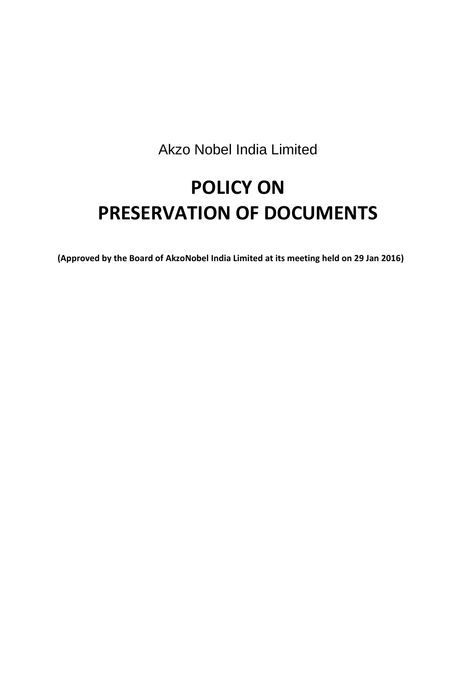Akzo Nobel India Limited

# **POLICY ON PRESERVATION OF DOCUMENTS**

**(Approved by the Board of AkzoNobel India Limited at its meeting held on 29 Jan 2016)**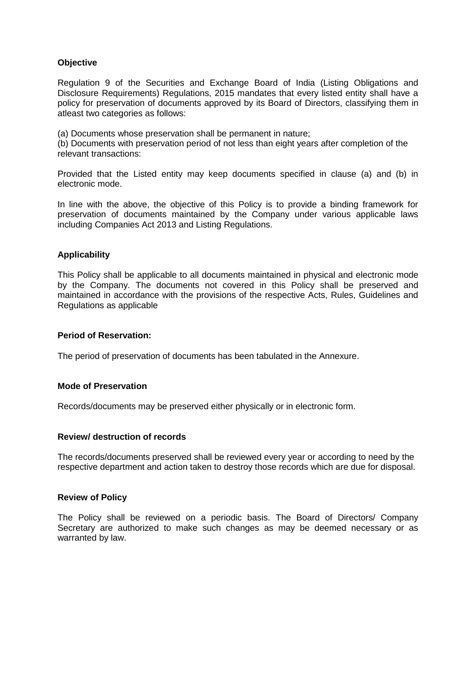## **Objective**

Regulation 9 of the Securities and Exchange Board of India (Listing Obligations and Disclosure Requirements) Regulations, 2015 mandates that every listed entity shall have a policy for preservation of documents approved by its Board of Directors, classifying them in atleast two categories as follows:

(a) Documents whose preservation shall be permanent in nature;

(b) Documents with preservation period of not less than eight years after completion of the relevant transactions:

Provided that the Listed entity may keep documents specified in clause (a) and (b) in electronic mode.

In line with the above, the objective of this Policy is to provide a binding framework for preservation of documents maintained by the Company under various applicable laws including Companies Act 2013 and Listing Regulations.

## **Applicability**

This Policy shall be applicable to all documents maintained in physical and electronic mode by the Company. The documents not covered in this Policy shall be preserved and maintained in accordance with the provisions of the respective Acts, Rules, Guidelines and Regulations as applicable

#### **Period of Reservation:**

The period of preservation of documents has been tabulated in the Annexure.

### **Mode of Preservation**

Records/documents may be preserved either physically or in electronic form.

### **Review/ destruction of records**

The records/documents preserved shall be reviewed every year or according to need by the respective department and action taken to destroy those records which are due for disposal.

#### **Review of Policy**

The Policy shall be reviewed on a periodic basis. The Board of Directors/ Company Secretary are authorized to make such changes as may be deemed necessary or as warranted by law.